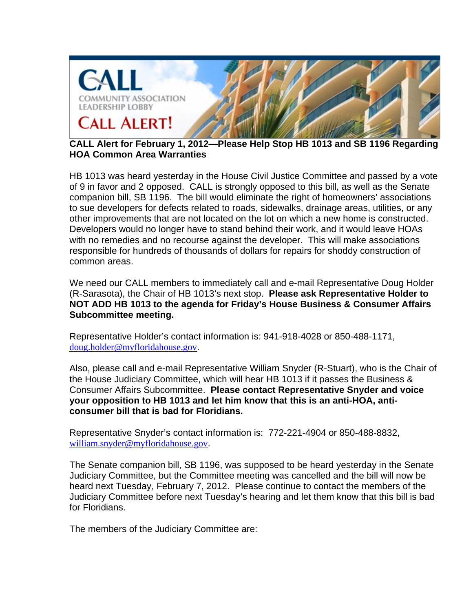

**CALL Alert for February 1, 2012—Please Help Stop HB 1013 and SB 1196 Regarding HOA Common Area Warranties**

HB 1013 was heard yesterday in the House Civil Justice Committee and passed by a vote of 9 in favor and 2 opposed. CALL is strongly opposed to this bill, as well as the Senate companion bill, SB 1196. The bill would eliminate the right of homeowners' associations to sue developers for defects related to roads, sidewalks, drainage areas, utilities, or any other improvements that are not located on the lot on which a new home is constructed. Developers would no longer have to stand behind their work, and it would leave HOAs with no remedies and no recourse against the developer. This will make associations responsible for hundreds of thousands of dollars for repairs for shoddy construction of common areas.

We need our CALL members to immediately call and e-mail Representative Doug Holder (R-Sarasota), the Chair of HB 1013's next stop. **Please ask Representative Holder to NOT ADD HB 1013 to the agenda for Friday's House Business & Consumer Affairs Subcommittee meeting.**

Representative Holder's contact information is: 941-918-4028 or 850-488-1171, doug.holder@myfloridahouse.gov.

Also, please call and e-mail Representative William Snyder (R-Stuart), who is the Chair of the House Judiciary Committee, which will hear HB 1013 if it passes the Business & Consumer Affairs Subcommittee. **Please contact Representative Snyder and voice your opposition to HB 1013 and let him know that this is an anti-HOA, anticonsumer bill that is bad for Floridians.**

Representative Snyder's contact information is: 772-221-4904 or 850-488-8832, william.snyder@myfloridahouse.gov.

The Senate companion bill, SB 1196, was supposed to be heard yesterday in the Senate Judiciary Committee, but the Committee meeting was cancelled and the bill will now be heard next Tuesday, February 7, 2012. Please continue to contact the members of the Judiciary Committee before next Tuesday's hearing and let them know that this bill is bad for Floridians.

The members of the Judiciary Committee are: